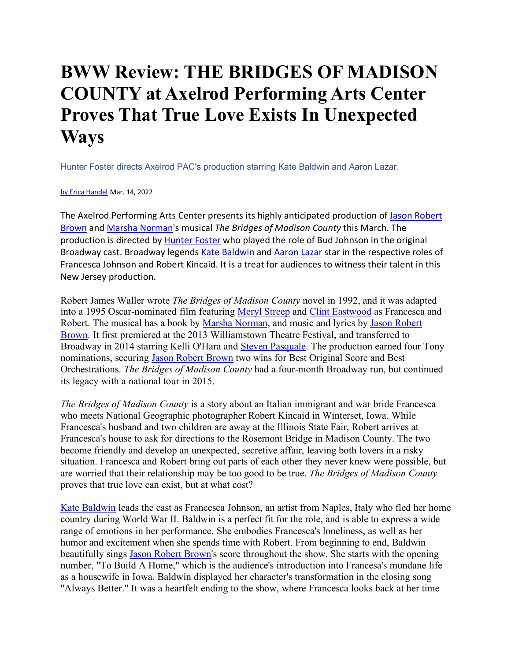## **BWW Review: THE BRIDGES OF MADISON COUNTY at Axelrod Performing Arts Center Proves That True Love Exists In Unexpected Ways**

Hunter Foster directs Axelrod PAC's production starring Kate Baldwin and Aaron Lazar.

## by Erica Handel Mar. 14, 2022

The Axelrod Performing Arts Center presents its highly anticipated production of Jason Robert Brown and Marsha Norman's musical *The Bridges of Madison County* this March. The production is directed by Hunter Foster who played the role of Bud Johnson in the original Broadway cast. Broadway legends Kate Baldwin and Aaron Lazar star in the respective roles of Francesca Johnson and Robert Kincaid. It is a treat for audiences to witness their talent in this New Jersey production.

Robert James Waller wrote *The Bridges of Madison County* novel in 1992, and it was adapted into a 1995 Oscar-nominated film featuring Meryl Streep and Clint Eastwood as Francesca and Robert. The musical has a book by Marsha Norman, and music and lyrics by Jason Robert Brown. It first premiered at the 2013 Williamstown Theatre Festival, and transferred to Broadway in 2014 starring Kelli O'Hara and Steven Pasquale. The production earned four Tony nominations, securing Jason Robert Brown two wins for Best Original Score and Best Orchestrations. *The Bridges of Madison County* had a four-month Broadway run, but continued its legacy with a national tour in 2015.

*The Bridges of Madison County* is a story about an Italian immigrant and war bride Francesca who meets National Geographic photographer Robert Kincaid in Winterset, Iowa. While Francesca's husband and two children are away at the Illinois State Fair, Robert arrives at Francesca's house to ask for directions to the Rosemont Bridge in Madison County. The two become friendly and develop an unexpected, secretive affair, leaving both lovers in a risky situation. Francesca and Robert bring out parts of each other they never knew were possible, but are worried that their relationship may be too good to be true. *The Bridges of Madison County*  proves that true love can exist, but at what cost?

Kate Baldwin leads the cast as Francesca Johnson, an artist from Naples, Italy who fled her home country during World War II. Baldwin is a perfect fit for the role, and is able to express a wide range of emotions in her performance. She embodies Francesca's loneliness, as well as her humor and excitement when she spends time with Robert. From beginning to end, Baldwin beautifully sings Jason Robert Brown's score throughout the show. She starts with the opening number, "To Build A Home," which is the audience's introduction into Francesa's mundane life as a housewife in Iowa. Baldwin displayed her character's transformation in the closing song "Always Better." It was a heartfelt ending to the show, where Francesca looks back at her time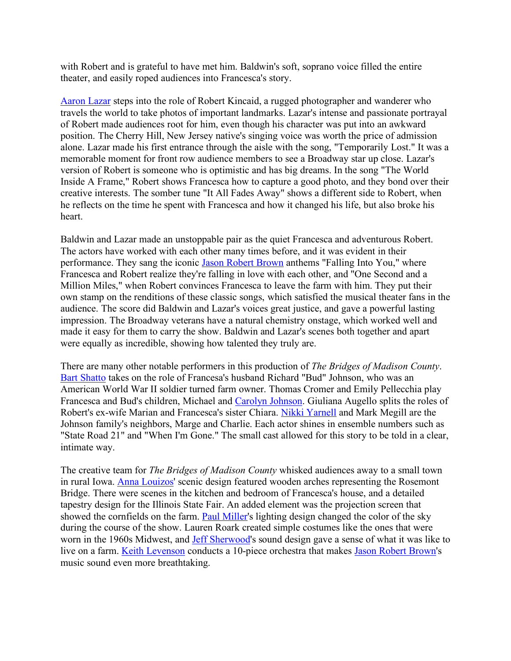with Robert and is grateful to have met him. Baldwin's soft, soprano voice filled the entire theater, and easily roped audiences into Francesca's story.

Aaron Lazar steps into the role of Robert Kincaid, a rugged photographer and wanderer who travels the world to take photos of important landmarks. Lazar's intense and passionate portrayal of Robert made audiences root for him, even though his character was put into an awkward position. The Cherry Hill, New Jersey native's singing voice was worth the price of admission alone. Lazar made his first entrance through the aisle with the song, "Temporarily Lost." It was a memorable moment for front row audience members to see a Broadway star up close. Lazar's version of Robert is someone who is optimistic and has big dreams. In the song "The World Inside A Frame," Robert shows Francesca how to capture a good photo, and they bond over their creative interests. The somber tune "It All Fades Away" shows a different side to Robert, when he reflects on the time he spent with Francesca and how it changed his life, but also broke his heart.

Baldwin and Lazar made an unstoppable pair as the quiet Francesca and adventurous Robert. The actors have worked with each other many times before, and it was evident in their performance. They sang the iconic Jason Robert Brown anthems "Falling Into You," where Francesca and Robert realize they're falling in love with each other, and "One Second and a Million Miles," when Robert convinces Francesca to leave the farm with him. They put their own stamp on the renditions of these classic songs, which satisfied the musical theater fans in the audience. The score did Baldwin and Lazar's voices great justice, and gave a powerful lasting impression. The Broadway veterans have a natural chemistry onstage, which worked well and made it easy for them to carry the show. Baldwin and Lazar's scenes both together and apart were equally as incredible, showing how talented they truly are.

There are many other notable performers in this production of *The Bridges of Madison County*. Bart Shatto takes on the role of Francesa's husband Richard "Bud" Johnson, who was an American World War II soldier turned farm owner. Thomas Cromer and Emily Pellecchia play Francesca and Bud's children, Michael and Carolyn Johnson. Giuliana Augello splits the roles of Robert's ex-wife Marian and Francesca's sister Chiara. Nikki Yarnell and Mark Megill are the Johnson family's neighbors, Marge and Charlie. Each actor shines in ensemble numbers such as "State Road 21" and "When I'm Gone." The small cast allowed for this story to be told in a clear, intimate way.

The creative team for *The Bridges of Madison County* whisked audiences away to a small town in rural Iowa. Anna Louizos' scenic design featured wooden arches representing the Rosemont Bridge. There were scenes in the kitchen and bedroom of Francesca's house, and a detailed tapestry design for the Illinois State Fair. An added element was the projection screen that showed the cornfields on the farm. Paul Miller's lighting design changed the color of the sky during the course of the show. Lauren Roark created simple costumes like the ones that were worn in the 1960s Midwest, and Jeff Sherwood's sound design gave a sense of what it was like to live on a farm. Keith Levenson conducts a 10-piece orchestra that makes Jason Robert Brown's music sound even more breathtaking.